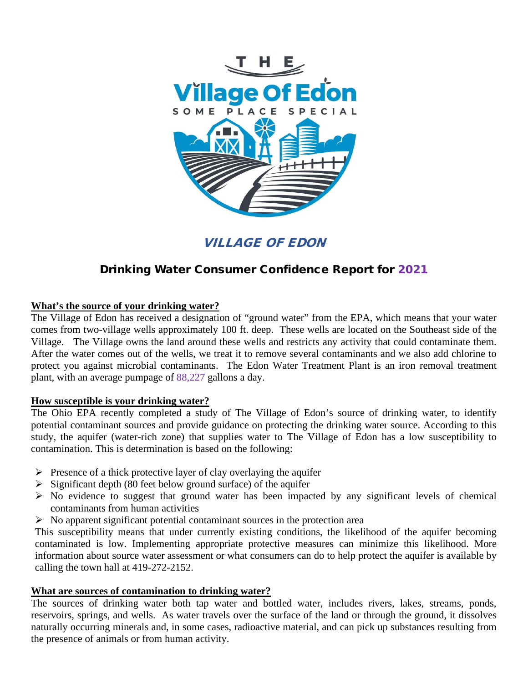

VILLAGE OF EDON

# Drinking Water Consumer Confidence Report for 2021

# **What's the source of your drinking water?**

The Village of Edon has received a designation of "ground water" from the EPA, which means that your water comes from two-village wells approximately 100 ft. deep. These wells are located on the Southeast side of the Village. The Village owns the land around these wells and restricts any activity that could contaminate them. After the water comes out of the wells, we treat it to remove several contaminants and we also add chlorine to protect you against microbial contaminants. The Edon Water Treatment Plant is an iron removal treatment plant, with an average pumpage of 88,227 gallons a day.

#### **How susceptible is your drinking water?**

The Ohio EPA recently completed a study of The Village of Edon's source of drinking water, to identify potential contaminant sources and provide guidance on protecting the drinking water source. According to this study, the aquifer (water-rich zone) that supplies water to The Village of Edon has a low susceptibility to contamination. This is determination is based on the following:

- $\triangleright$  Presence of a thick protective layer of clay overlaying the aquifer
- $\triangleright$  Significant depth (80 feet below ground surface) of the aquifer
- $\triangleright$  No evidence to suggest that ground water has been impacted by any significant levels of chemical contaminants from human activities
- $\triangleright$  No apparent significant potential contaminant sources in the protection area

This susceptibility means that under currently existing conditions, the likelihood of the aquifer becoming contaminated is low. Implementing appropriate protective measures can minimize this likelihood. More information about source water assessment or what consumers can do to help protect the aquifer is available by calling the town hall at 419-272-2152.

#### **What are sources of contamination to drinking water?**

The sources of drinking water both tap water and bottled water, includes rivers, lakes, streams, ponds, reservoirs, springs, and wells. As water travels over the surface of the land or through the ground, it dissolves naturally occurring minerals and, in some cases, radioactive material, and can pick up substances resulting from the presence of animals or from human activity.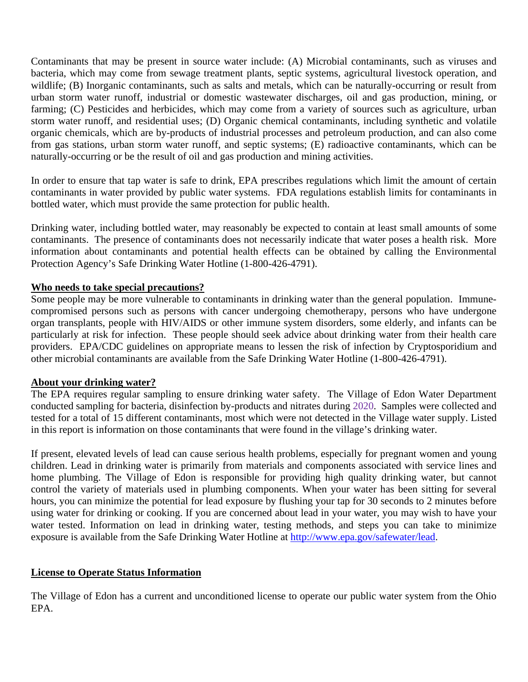Contaminants that may be present in source water include: (A) Microbial contaminants, such as viruses and bacteria, which may come from sewage treatment plants, septic systems, agricultural livestock operation, and wildlife; (B) Inorganic contaminants, such as salts and metals, which can be naturally-occurring or result from urban storm water runoff, industrial or domestic wastewater discharges, oil and gas production, mining, or farming; (C) Pesticides and herbicides, which may come from a variety of sources such as agriculture, urban storm water runoff, and residential uses; (D) Organic chemical contaminants, including synthetic and volatile organic chemicals, which are by-products of industrial processes and petroleum production, and can also come from gas stations, urban storm water runoff, and septic systems; (E) radioactive contaminants, which can be naturally-occurring or be the result of oil and gas production and mining activities.

In order to ensure that tap water is safe to drink, EPA prescribes regulations which limit the amount of certain contaminants in water provided by public water systems. FDA regulations establish limits for contaminants in bottled water, which must provide the same protection for public health.

Drinking water, including bottled water, may reasonably be expected to contain at least small amounts of some contaminants. The presence of contaminants does not necessarily indicate that water poses a health risk. More information about contaminants and potential health effects can be obtained by calling the Environmental Protection Agency's Safe Drinking Water Hotline (1-800-426-4791).

## **Who needs to take special precautions?**

Some people may be more vulnerable to contaminants in drinking water than the general population. Immunecompromised persons such as persons with cancer undergoing chemotherapy, persons who have undergone organ transplants, people with HIV/AIDS or other immune system disorders, some elderly, and infants can be particularly at risk for infection. These people should seek advice about drinking water from their health care providers. EPA/CDC guidelines on appropriate means to lessen the risk of infection by Cryptosporidium and other microbial contaminants are available from the Safe Drinking Water Hotline (1-800-426-4791).

#### **About your drinking water?**

The EPA requires regular sampling to ensure drinking water safety. The Village of Edon Water Department conducted sampling for bacteria, disinfection by-products and nitrates during 2020. Samples were collected and tested for a total of 15 different contaminants, most which were not detected in the Village water supply. Listed in this report is information on those contaminants that were found in the village's drinking water.

If present, elevated levels of lead can cause serious health problems, especially for pregnant women and young children. Lead in drinking water is primarily from materials and components associated with service lines and home plumbing. The Village of Edon is responsible for providing high quality drinking water, but cannot control the variety of materials used in plumbing components. When your water has been sitting for several hours, you can minimize the potential for lead exposure by flushing your tap for 30 seconds to 2 minutes before using water for drinking or cooking. If you are concerned about lead in your water, you may wish to have your water tested. Information on lead in drinking water, testing methods, and steps you can take to minimize exposure is available from the Safe Drinking Water Hotline at [http://www.epa.gov/safewater/lead.](http://www.epa.gov/safewater/lead)

#### **License to Operate Status Information**

The Village of Edon has a current and unconditioned license to operate our public water system from the Ohio EPA.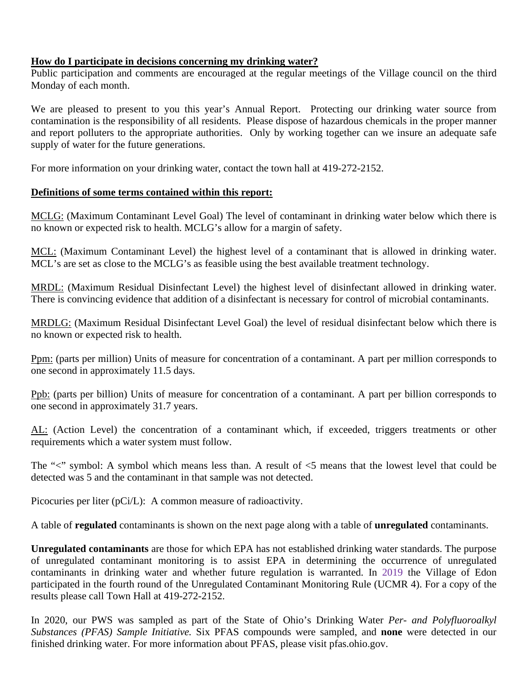## **How do I participate in decisions concerning my drinking water?**

Public participation and comments are encouraged at the regular meetings of the Village council on the third Monday of each month.

We are pleased to present to you this year's Annual Report. Protecting our drinking water source from contamination is the responsibility of all residents. Please dispose of hazardous chemicals in the proper manner and report polluters to the appropriate authorities. Only by working together can we insure an adequate safe supply of water for the future generations.

For more information on your drinking water, contact the town hall at 419-272-2152.

## **Definitions of some terms contained within this report:**

MCLG: (Maximum Contaminant Level Goal) The level of contaminant in drinking water below which there is no known or expected risk to health. MCLG's allow for a margin of safety.

MCL: (Maximum Contaminant Level) the highest level of a contaminant that is allowed in drinking water. MCL's are set as close to the MCLG's as feasible using the best available treatment technology.

MRDL: (Maximum Residual Disinfectant Level) the highest level of disinfectant allowed in drinking water. There is convincing evidence that addition of a disinfectant is necessary for control of microbial contaminants.

MRDLG: (Maximum Residual Disinfectant Level Goal) the level of residual disinfectant below which there is no known or expected risk to health.

Ppm: (parts per million) Units of measure for concentration of a contaminant. A part per million corresponds to one second in approximately 11.5 days.

Ppb: (parts per billion) Units of measure for concentration of a contaminant. A part per billion corresponds to one second in approximately 31.7 years.

AL: (Action Level) the concentration of a contaminant which, if exceeded, triggers treatments or other requirements which a water system must follow.

The "<" symbol: A symbol which means less than. A result of  $\leq$ 5 means that the lowest level that could be detected was 5 and the contaminant in that sample was not detected.

Picocuries per liter (pCi/L): A common measure of radioactivity.

A table of **regulated** contaminants is shown on the next page along with a table of **unregulated** contaminants.

**Unregulated contaminants** are those for which EPA has not established drinking water standards. The purpose of unregulated contaminant monitoring is to assist EPA in determining the occurrence of unregulated contaminants in drinking water and whether future regulation is warranted. In 2019 the Village of Edon participated in the fourth round of the Unregulated Contaminant Monitoring Rule (UCMR 4). For a copy of the results please call Town Hall at 419-272-2152.

In 2020, our PWS was sampled as part of the State of Ohio's Drinking Water *Per- and Polyfluoroalkyl Substances (PFAS) Sample Initiative.* Six PFAS compounds were sampled, and **none** were detected in our finished drinking water. For more information about PFAS, please visit pfas.ohio.gov.